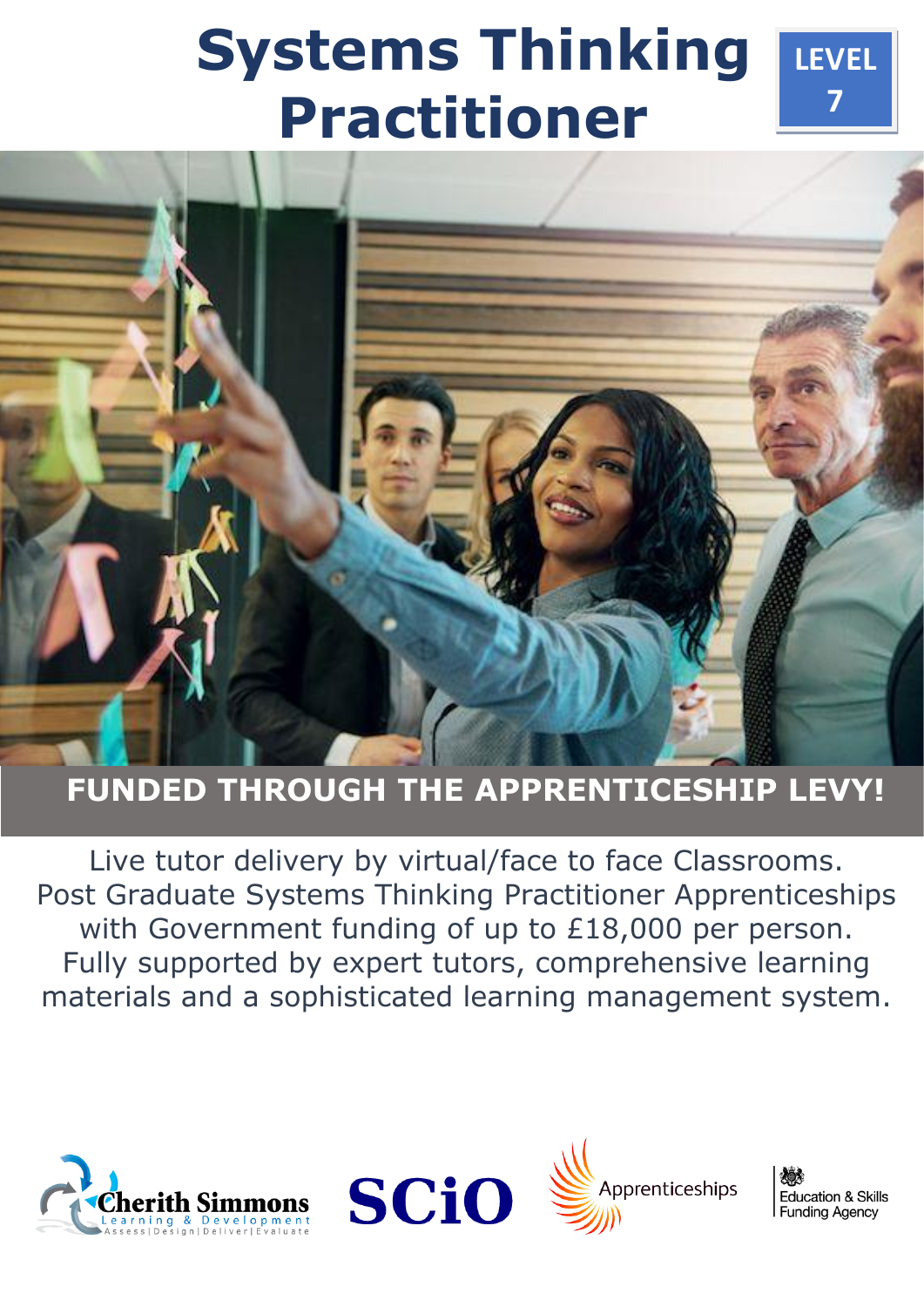# **Systems Thinking Practitioner**



# **FUNDED THROUGH THE APPRENTICESHIP LEVY!**

Live tutor delivery by virtual/face to face Classrooms. Post Graduate Systems Thinking Practitioner Apprenticeships with Government funding of up to £18,000 per person. Fully supported by expert tutors, comprehensive learning materials and a sophisticated learning management system.







**Education & Skills Funding Agency** 

**LEVEL**

**7**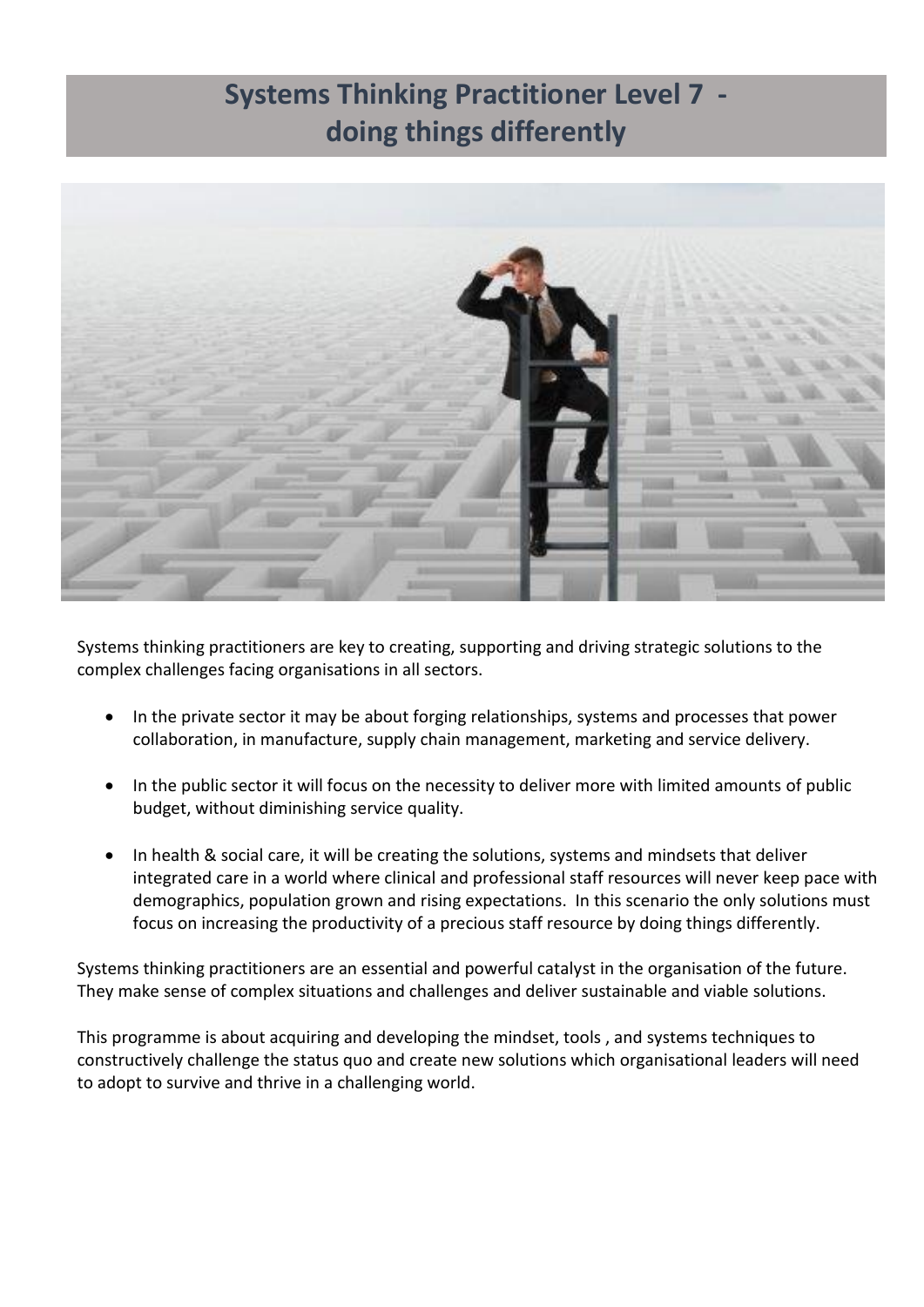# **Systems Thinking Practitioner Level 7 doing things differently**



Systems thinking practitioners are key to creating, supporting and driving strategic solutions to the complex challenges facing organisations in all sectors.

- In the private sector it may be about forging relationships, systems and processes that power collaboration, in manufacture, supply chain management, marketing and service delivery.
- In the public sector it will focus on the necessity to deliver more with limited amounts of public budget, without diminishing service quality.
- In health & social care, it will be creating the solutions, systems and mindsets that deliver integrated care in a world where clinical and professional staff resources will never keep pace with demographics, population grown and rising expectations. In this scenario the only solutions must focus on increasing the productivity of a precious staff resource by doing things differently.

Systems thinking practitioners are an essential and powerful catalyst in the organisation of the future. They make sense of complex situations and challenges and deliver sustainable and viable solutions.

This programme is about acquiring and developing the mindset, tools , and systems techniques to constructively challenge the status quo and create new solutions which organisational leaders will need to adopt to survive and thrive in a challenging world.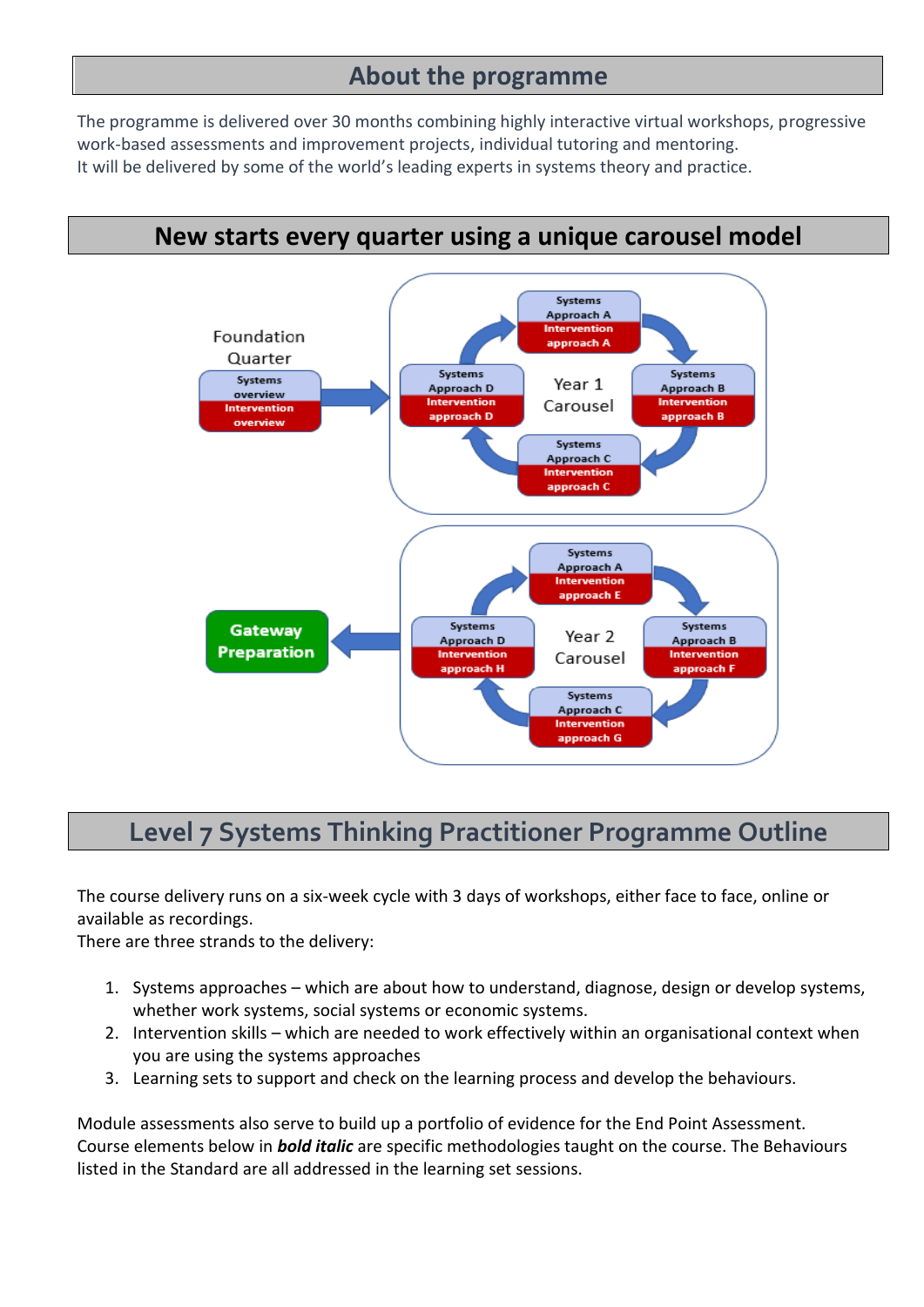#### **About the programme**

The programme is delivered over 30 months combining highly interactive virtual workshops, progressive work-based assessments and improvement projects, individual tutoring and mentoring. It will be delivered by some of the world's leading experts in systems theory and practice.

# **New starts every quarter using a unique carousel model**

![](_page_2_Figure_3.jpeg)

### **Level 7 Systems Thinking Practitioner Programme Outline**

The course delivery runs on a six-week cycle with 3 days of workshops, either face to face, online or available as recordings.

There are three strands to the delivery:

- 1. Systems approaches which are about how to understand, diagnose, design or develop systems, whether work systems, social systems or economic systems.
- 2. Intervention skills which are needed to work effectively within an organisational context when you are using the systems approaches
- 3. Learning sets to support and check on the learning process and develop the behaviours.

Module assessments also serve to build up a portfolio of evidence for the End Point Assessment. Course elements below in *bold italic* are specific methodologies taught on the course. The Behaviours listed in the Standard are all addressed in the learning set sessions.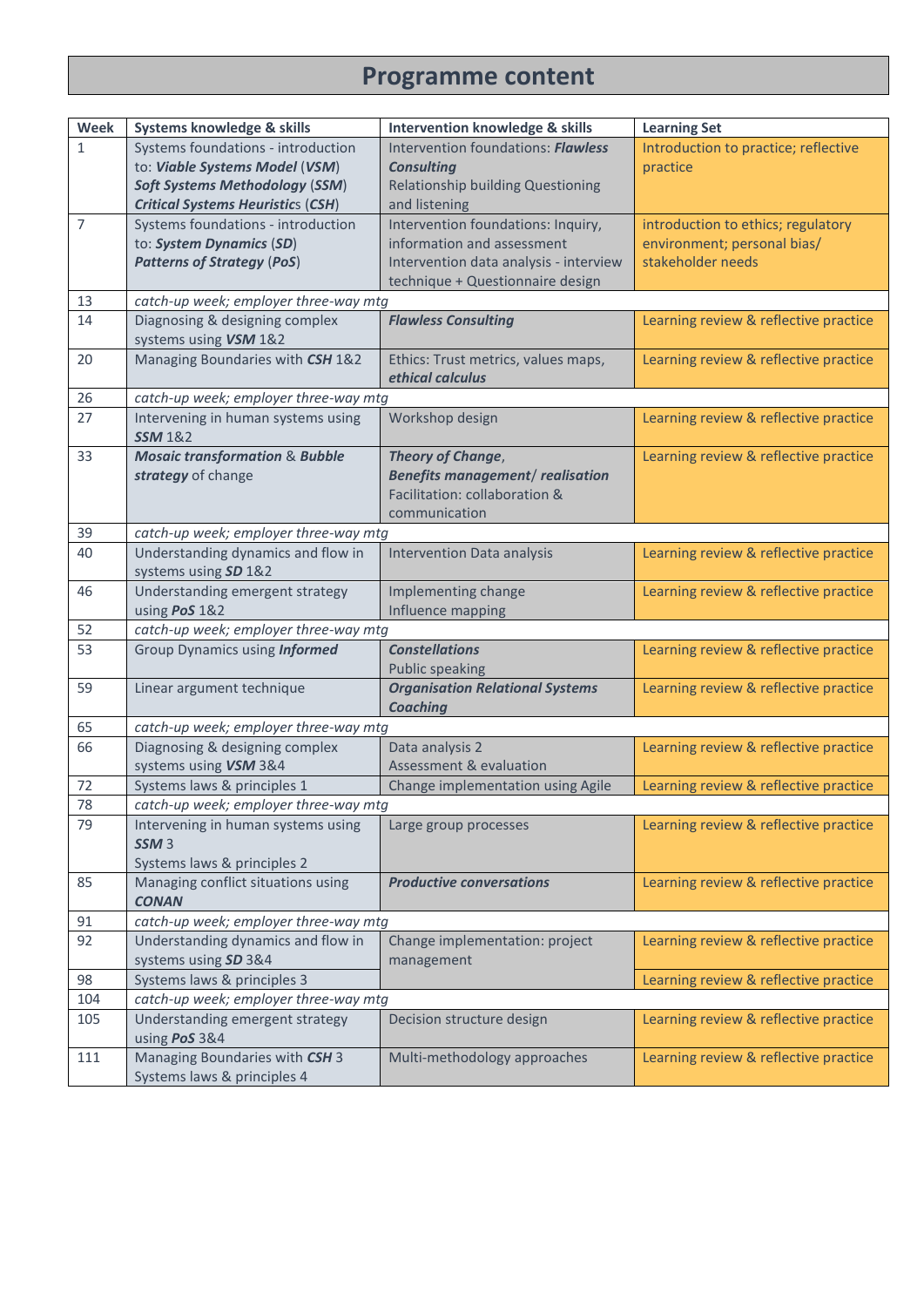## **Programme content**

| Week           | Systems knowledge & skills                              | <b>Intervention knowledge &amp; skills</b>            | <b>Learning Set</b>                   |
|----------------|---------------------------------------------------------|-------------------------------------------------------|---------------------------------------|
| $\mathbf{1}$   | Systems foundations - introduction                      | Intervention foundations: Flawless                    | Introduction to practice; reflective  |
|                | to: Viable Systems Model (VSM)                          | <b>Consulting</b>                                     | practice                              |
|                | <b>Soft Systems Methodology (SSM)</b>                   | <b>Relationship building Questioning</b>              |                                       |
|                | <b>Critical Systems Heuristics (CSH)</b>                | and listening                                         |                                       |
| $\overline{7}$ | Systems foundations - introduction                      | Intervention foundations: Inquiry,                    | introduction to ethics; regulatory    |
|                | to: System Dynamics (SD)                                | information and assessment                            | environment; personal bias/           |
|                | <b>Patterns of Strategy (PoS)</b>                       | Intervention data analysis - interview                | stakeholder needs                     |
|                |                                                         | technique + Questionnaire design                      |                                       |
| 13             | catch-up week; employer three-way mtg                   |                                                       |                                       |
| 14             | Diagnosing & designing complex<br>systems using VSM 1&2 | <b>Flawless Consulting</b>                            | Learning review & reflective practice |
| 20             | Managing Boundaries with CSH 1&2                        | Ethics: Trust metrics, values maps,                   | Learning review & reflective practice |
|                |                                                         | ethical calculus                                      |                                       |
| 26             | catch-up week; employer three-way mtg                   |                                                       |                                       |
| 27             | Intervening in human systems using                      | Workshop design                                       | Learning review & reflective practice |
|                | <b>SSM</b> 1&2                                          |                                                       |                                       |
| 33             | <b>Mosaic transformation &amp; Bubble</b>               | <b>Theory of Change,</b>                              | Learning review & reflective practice |
|                | strategy of change                                      | <b>Benefits management/ realisation</b>               |                                       |
|                |                                                         | Facilitation: collaboration &                         |                                       |
|                |                                                         | communication                                         |                                       |
| 39             | catch-up week; employer three-way mtg                   |                                                       |                                       |
| 40             | Understanding dynamics and flow in                      | <b>Intervention Data analysis</b>                     | Learning review & reflective practice |
|                | systems using SD 1&2                                    |                                                       |                                       |
| 46             | Understanding emergent strategy                         | Implementing change                                   | Learning review & reflective practice |
|                | using PoS 1&2                                           | Influence mapping                                     |                                       |
| 52             | catch-up week; employer three-way mtg                   |                                                       |                                       |
| 53             | Group Dynamics using Informed                           | <b>Constellations</b>                                 | Learning review & reflective practice |
|                |                                                         | <b>Public speaking</b>                                |                                       |
| 59             | Linear argument technique                               | <b>Organisation Relational Systems</b>                | Learning review & reflective practice |
|                | <b>Coaching</b>                                         |                                                       |                                       |
| 65             | catch-up week; employer three-way mtg                   |                                                       |                                       |
| 66             | Diagnosing & designing complex<br>systems using VSM 3&4 | Data analysis 2<br><b>Assessment &amp; evaluation</b> | Learning review & reflective practice |
| 72             | Systems laws & principles 1                             | Change implementation using Agile                     | Learning review & reflective practice |
| 78             | catch-up week; employer three-way mtg                   |                                                       |                                       |
| 79             | Intervening in human systems using                      | Large group processes                                 | Learning review & reflective practice |
|                | SSM <sub>3</sub>                                        |                                                       |                                       |
|                | Systems laws & principles 2                             |                                                       |                                       |
| 85             | Managing conflict situations using                      | <b>Productive conversations</b>                       | Learning review & reflective practice |
|                | <b>CONAN</b>                                            |                                                       |                                       |
| 91             | catch-up week; employer three-way mtg                   |                                                       |                                       |
| 92             | Understanding dynamics and flow in                      | Change implementation: project                        | Learning review & reflective practice |
|                | systems using SD 3&4                                    | management                                            |                                       |
| 98             | Systems laws & principles 3                             |                                                       | Learning review & reflective practice |
| 104            | catch-up week; employer three-way mtg                   |                                                       |                                       |
| 105            | Understanding emergent strategy                         | Decision structure design                             | Learning review & reflective practice |
|                | using PoS 3&4                                           |                                                       |                                       |
| 111            | Managing Boundaries with CSH 3                          | Multi-methodology approaches                          | Learning review & reflective practice |
|                | Systems laws & principles 4                             |                                                       |                                       |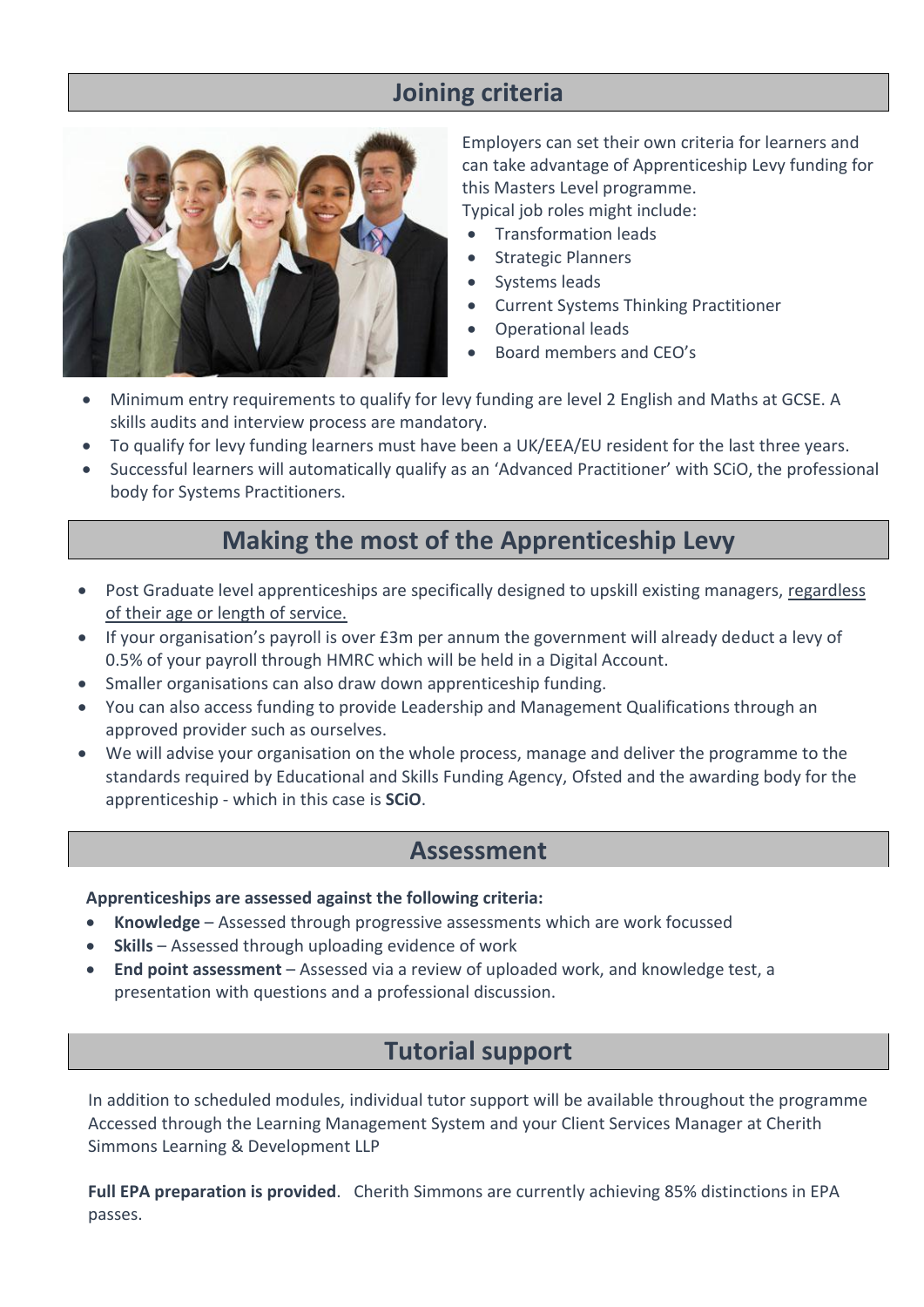#### **Joining criteria**

![](_page_4_Picture_1.jpeg)

Employers can set their own criteria for learners and can take advantage of Apprenticeship Levy funding for this Masters Level programme. Typical job roles might include:

• Transformation leads

- Strategic Planners
- Systems leads
- Current Systems Thinking Practitioner
- Operational leads
- Board members and CEO's
- Minimum entry requirements to qualify for levy funding are level 2 English and Maths at GCSE. A skills audits and interview process are mandatory.
- To qualify for levy funding learners must have been a UK/EEA/EU resident for the last three years.
- Successful learners will automatically qualify as an 'Advanced Practitioner' with SCiO, the professional body for Systems Practitioners.

#### **Making the most of the Apprenticeship Levy**

- Post Graduate level apprenticeships are specifically designed to upskill existing managers, regardless of their age or length of service.
- If your organisation's payroll is over £3m per annum the government will already deduct a levy of 0.5% of your payroll through HMRC which will be held in a Digital Account.
- Smaller organisations can also draw down apprenticeship funding.
- You can also access funding to provide Leadership and Management Qualifications through an approved provider such as ourselves.
- We will advise your organisation on the whole process, manage and deliver the programme to the standards required by Educational and Skills Funding Agency, Ofsted and the awarding body for the apprenticeship - which in this case is **SCiO**.

#### **Assessment**

#### **Apprenticeships are assessed against the following criteria:**

- **Knowledge** Assessed through progressive assessments which are work focussed
- **Skills** Assessed through uploading evidence of work
- **End point assessment** Assessed via a review of uploaded work, and knowledge test, a presentation with questions and a professional discussion.

#### **Tutorial support**

In addition to scheduled modules, individual tutor support will be available throughout the programme Accessed through the Learning Management System and your Client Services Manager at Cherith Simmons Learning & Development LLP

**Full EPA preparation is provided**. Cherith Simmons are currently achieving 85% distinctions in EPA passes.